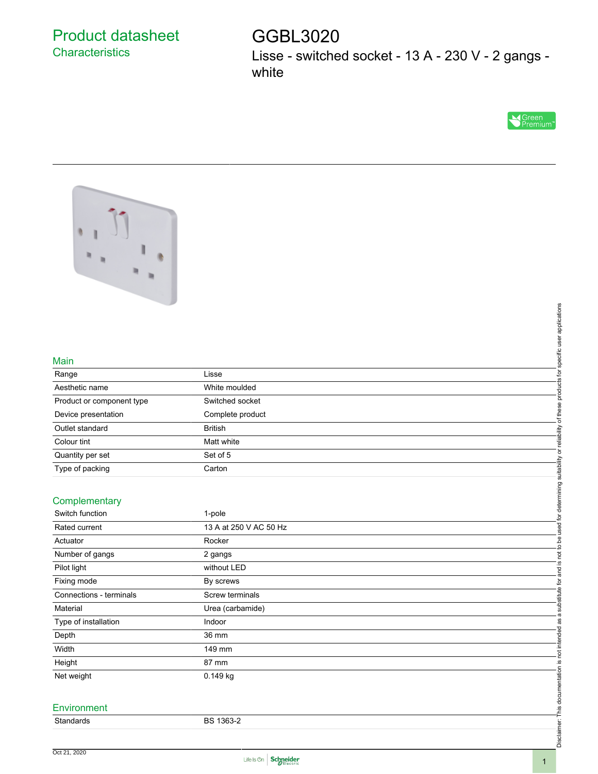## Product datasheet **Characteristics**

# GGBL3020

Lisse - switched socket - 13 A - 230 V - 2 gangs white





#### Main

| .                         |                  |  |
|---------------------------|------------------|--|
| Range                     | Lisse            |  |
| Aesthetic name            | White moulded    |  |
| Product or component type | Switched socket  |  |
| Device presentation       | Complete product |  |
| Outlet standard           | <b>British</b>   |  |
| Colour tint               | Matt white       |  |
| Quantity per set          | Set of 5         |  |
| Type of packing           | Carton           |  |

### **Complementary**

| Main                      |                        |                                                                  |  |
|---------------------------|------------------------|------------------------------------------------------------------|--|
| Range                     | Lisse                  |                                                                  |  |
| Aesthetic name            | White moulded          | products for specific user applications                          |  |
| Product or component type | Switched socket        |                                                                  |  |
| Device presentation       | Complete product       | of these                                                         |  |
| Outlet standard           | <b>British</b>         |                                                                  |  |
| Colour tint               | Matt white             |                                                                  |  |
| Quantity per set          | Set of 5               |                                                                  |  |
| Type of packing           | Carton                 |                                                                  |  |
|                           |                        |                                                                  |  |
| Complementary             |                        | and is not to be used for determining suitability or reliability |  |
| Switch function           | 1-pole                 |                                                                  |  |
| Rated current             | 13 A at 250 V AC 50 Hz |                                                                  |  |
| Actuator                  | Rocker                 |                                                                  |  |
| Number of gangs           | 2 gangs                |                                                                  |  |
| Pilot light               | without LED            |                                                                  |  |
| Fixing mode               | By screws              |                                                                  |  |
| Connections - terminals   | Screw terminals        | substitute for                                                   |  |
| Material                  | Urea (carbamide)       |                                                                  |  |
| Type of installation      | Indoor                 | $\overline{\mathfrak{a}}$<br>æ                                   |  |
| Depth                     | 36 mm                  |                                                                  |  |
| Width                     | 149 mm                 |                                                                  |  |
| Height                    | 87 mm                  |                                                                  |  |
| Net weight                | 0.149 kg               |                                                                  |  |
|                           |                        | Disclaimer: This documentation is not intended                   |  |
| Environment               |                        |                                                                  |  |
| Standards                 | BS 1363-2              |                                                                  |  |
|                           |                        |                                                                  |  |
|                           |                        |                                                                  |  |

#### **Environment**

| Standards<br>. | -1363-2<br>ה מ<br>BЭ<br>______ |
|----------------|--------------------------------|
|                |                                |